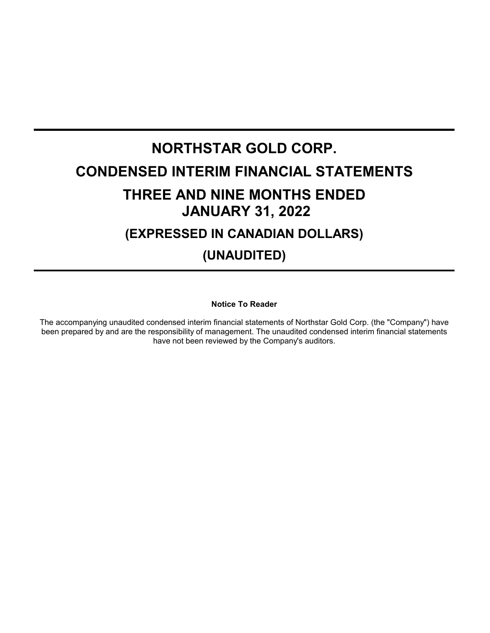# **NORTHSTAR GOLD CORP. CONDENSED INTERIM FINANCIAL STATEMENTS THREE AND NINE MONTHS ENDED JANUARY 31, 2022 (EXPRESSED IN CANADIAN DOLLARS) (UNAUDITED)**

**Notice To Reader**

The accompanying unaudited condensed interim financial statements of Northstar Gold Corp. (the "Company") have been prepared by and are the responsibility of management. The unaudited condensed interim financial statements have not been reviewed by the Company's auditors.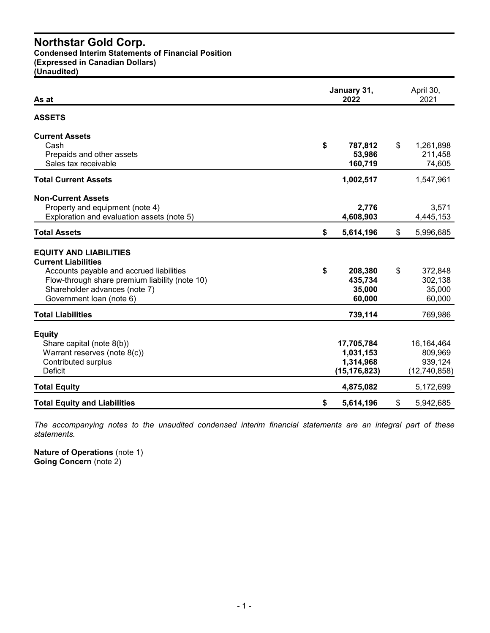**Condensed Interim Statements of Financial Position**

**(Expressed in Canadian Dollars)**

**(Unaudited)**

| As at                                                                                                                                                                                                                  | January 31,<br>2022                                    |    |                                                    |  |
|------------------------------------------------------------------------------------------------------------------------------------------------------------------------------------------------------------------------|--------------------------------------------------------|----|----------------------------------------------------|--|
| <b>ASSETS</b>                                                                                                                                                                                                          |                                                        |    |                                                    |  |
| <b>Current Assets</b><br>Cash<br>Prepaids and other assets<br>Sales tax receivable                                                                                                                                     | \$<br>787,812<br>53,986<br>160,719                     | \$ | 1,261,898<br>211,458<br>74,605                     |  |
| <b>Total Current Assets</b>                                                                                                                                                                                            | 1,002,517                                              |    | 1,547,961                                          |  |
| <b>Non-Current Assets</b><br>Property and equipment (note 4)<br>Exploration and evaluation assets (note 5)                                                                                                             | 2,776<br>4,608,903                                     |    | 3,571<br>4,445,153                                 |  |
| <b>Total Assets</b>                                                                                                                                                                                                    | \$<br>5,614,196                                        | \$ | 5,996,685                                          |  |
| <b>EQUITY AND LIABILITIES</b><br><b>Current Liabilities</b><br>Accounts payable and accrued liabilities<br>Flow-through share premium liability (note 10)<br>Shareholder advances (note 7)<br>Government loan (note 6) | \$<br>208,380<br>435,734<br>35,000<br>60,000           | \$ | 372,848<br>302,138<br>35,000<br>60,000             |  |
| <b>Total Liabilities</b>                                                                                                                                                                                               | 739,114                                                |    | 769,986                                            |  |
| <b>Equity</b><br>Share capital (note 8(b))<br>Warrant reserves (note 8(c))<br>Contributed surplus<br><b>Deficit</b>                                                                                                    | 17,705,784<br>1,031,153<br>1,314,968<br>(15, 176, 823) |    | 16, 164, 464<br>809,969<br>939,124<br>(12,740,858) |  |
| <b>Total Equity</b>                                                                                                                                                                                                    | 4,875,082                                              |    | 5,172,699                                          |  |
| <b>Total Equity and Liabilities</b>                                                                                                                                                                                    | \$<br>5,614,196                                        | \$ | 5,942,685                                          |  |

*The accompanying notes to the unaudited condensed interim financial statements are an integral part of these statements.*

**Nature of Operations** (note 1) **Going Concern** (note 2)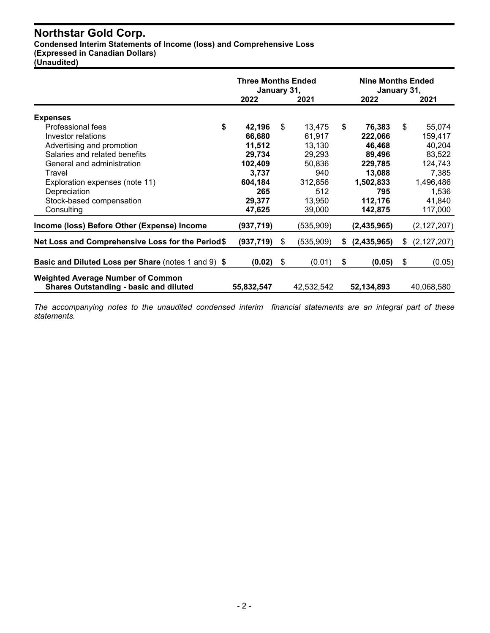**Condensed Interim Statements of Income (loss) and Comprehensive Loss**

**(Expressed in Canadian Dollars)**

**(Unaudited)**

|                                                                                           | <b>Three Months Ended</b><br>January 31, |    |            |    | <b>Nine Months Ended</b><br>January 31, |     |               |
|-------------------------------------------------------------------------------------------|------------------------------------------|----|------------|----|-----------------------------------------|-----|---------------|
|                                                                                           | 2022                                     |    | 2021       |    | 2022                                    |     | 2021          |
| <b>Expenses</b>                                                                           |                                          |    |            |    |                                         |     |               |
| \$<br>Professional fees                                                                   | 42,196                                   | \$ | 13,475     | \$ | 76,383                                  | \$  | 55,074        |
| Investor relations                                                                        | 66,680                                   |    | 61,917     |    | 222,066                                 |     | 159,417       |
| Advertising and promotion                                                                 | 11,512                                   |    | 13,130     |    | 46,468                                  |     | 40,204        |
| Salaries and related benefits                                                             | 29,734                                   |    | 29,293     |    | 89,496                                  |     | 83,522        |
| General and administration                                                                | 102,409                                  |    | 50,836     |    | 229,785                                 |     | 124,743       |
| Travel                                                                                    | 3,737                                    |    | 940        |    | 13,088                                  |     | 7,385         |
| Exploration expenses (note 11)                                                            | 604,184                                  |    | 312,856    |    | 1,502,833                               |     | 1,496,486     |
| Depreciation                                                                              | 265                                      |    | 512        |    | 795                                     |     | 1,536         |
| Stock-based compensation                                                                  | 29,377                                   |    | 13,950     |    | 112,176                                 |     | 41,840        |
| Consulting                                                                                | 47,625                                   |    | 39,000     |    | 142,875                                 |     | 117,000       |
| Income (loss) Before Other (Expense) Income                                               | (937,719)                                |    | (535, 909) |    | (2,435,965)                             |     | (2, 127, 207) |
| Net Loss and Comprehensive Loss for the Period\$                                          | (937, 719)                               | \$ | (535,909)  | S. | (2,435,965)                             | \$. | (2, 127, 207) |
| <b>Basic and Diluted Loss per Share (notes 1 and 9) \$</b>                                | (0.02)                                   | \$ | (0.01)     | \$ | (0.05)                                  | \$  | (0.05)        |
| <b>Weighted Average Number of Common</b><br><b>Shares Outstanding - basic and diluted</b> | 55,832,547                               |    | 42,532,542 |    | 52,134,893                              |     | 40,068,580    |

*The accompanying notes to the unaudited condensed interim financial statements are an integral part of these statements.*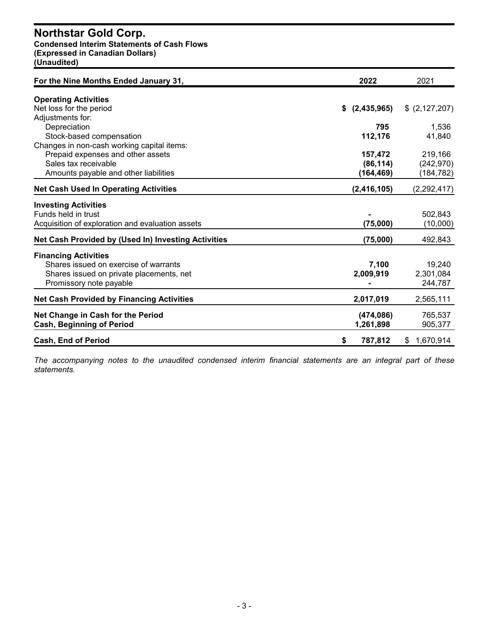#### **Condensed Interim Statements of Cash Flows (Expressed in Canadian Dollars) (Unaudited)**

**For the Nine Months Ended January 31, 2022** 2021 **Operating Activities** Net loss for the period **\$ (2,435,965)** \$ (2,127,207) Adjustments for: Depreciation **795** 1,536 Stock-based compensation **112,176** 41,840 Changes in non-cash working capital items: Prepaid expenses and other assets **157,472** 219,166 Sales tax receivable **(86,114)** (242,970) Amounts payable and other liabilities **(164,469)** (184,782) **Net Cash Used In Operating Activities (2,416,105)** (2,292,417) **Investing Activities** Funds held in trust **-** 502,843 Acquisition of exploration and evaluation assets **(75,000)** (10,000) **Net Cash Provided by (Used In) Investing Activities (75,000)** 492,843 **Financing Activities** Shares issued on exercise of warrants **7,100** 19,240 Shares issued on private placements, net **2,009,919** 2,301,084 Promissory note payable **-** 244,787 **Net Cash Provided by Financing Activities 2,017,019** 2,565,111 **Net Change in Cash for the Period (474,086)** 765,537 **Cash, Beginning of Period 1,261,898** 905,377 **Cash, End of Period \$ 787,812** \$ 1,670,914

*The accompanying notes to the unaudited condensed interim financial statements are an integral part of these statements.*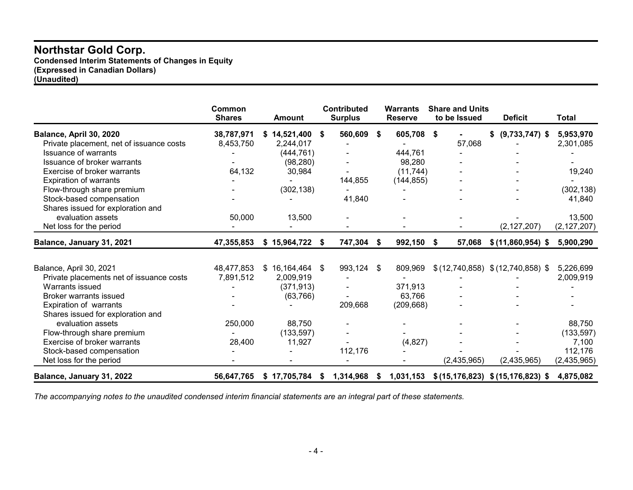**Condensed Interim Statements of Changes in Equity (Expressed in Canadian Dollars) (Unaudited)**

|                                          | Common<br><b>Shares</b> | <b>Amount</b> |      | <b>Contributed</b><br><b>Surplus</b> |      | <b>Warrants</b><br><b>Reserve</b> |    | <b>Share and Units</b><br>to be Issued | <b>Deficit</b>                       | Total         |
|------------------------------------------|-------------------------|---------------|------|--------------------------------------|------|-----------------------------------|----|----------------------------------------|--------------------------------------|---------------|
| Balance, April 30, 2020                  | 38,787,971              | \$14,521,400  | - \$ | 560,609                              | - \$ | 605,708 \$                        |    |                                        | $(9,733,747)$ \$<br>\$               | 5,953,970     |
| Private placement, net of issuance costs | 8,453,750               | 2,244,017     |      |                                      |      |                                   |    | 57,068                                 |                                      | 2,301,085     |
| <b>Issuance of warrants</b>              |                         | (444, 761)    |      |                                      |      | 444,761                           |    |                                        |                                      |               |
| Issuance of broker warrants              |                         | (98, 280)     |      |                                      |      | 98,280                            |    |                                        |                                      |               |
| Exercise of broker warrants              | 64,132                  | 30,984        |      |                                      |      | (11, 744)                         |    |                                        |                                      | 19,240        |
| <b>Expiration of warrants</b>            |                         |               |      | 144,855                              |      | (144, 855)                        |    |                                        |                                      |               |
| Flow-through share premium               |                         | (302, 138)    |      |                                      |      |                                   |    |                                        |                                      | (302, 138)    |
| Stock-based compensation                 |                         |               |      | 41,840                               |      |                                   |    |                                        |                                      | 41,840        |
| Shares issued for exploration and        |                         |               |      |                                      |      |                                   |    |                                        |                                      |               |
| evaluation assets                        | 50,000                  | 13,500        |      |                                      |      |                                   |    |                                        |                                      | 13,500        |
| Net loss for the period                  |                         |               |      |                                      |      |                                   |    |                                        | (2, 127, 207)                        | (2, 127, 207) |
| Balance, January 31, 2021                | 47,355,853              | \$15,964,722  | S    | 747,304 \$                           |      | 992,150                           | S. | 57,068                                 | \$ (11,860,954) \$                   | 5,900,290     |
|                                          |                         |               |      |                                      |      |                                   |    |                                        |                                      |               |
| Balance, April 30, 2021                  | 48,477,853              | \$16,164,464  | S.   | 993,124                              | -SG  | 809,969                           |    |                                        | $$(12,740,858)$ $$(12,740,858)$ \$   | 5,226,699     |
| Private placements net of issuance costs | 7,891,512               | 2,009,919     |      |                                      |      |                                   |    |                                        |                                      | 2,009,919     |
| Warrants issued                          |                         | (371, 913)    |      |                                      |      | 371,913                           |    |                                        |                                      |               |
| <b>Broker warrants issued</b>            |                         | (63, 766)     |      |                                      |      | 63,766                            |    |                                        |                                      |               |
| <b>Expiration of warrants</b>            |                         |               |      | 209,668                              |      | (209, 668)                        |    |                                        |                                      |               |
| Shares issued for exploration and        |                         |               |      |                                      |      |                                   |    |                                        |                                      |               |
| evaluation assets                        | 250,000                 | 88,750        |      |                                      |      |                                   |    |                                        |                                      | 88,750        |
| Flow-through share premium               |                         | (133, 597)    |      |                                      |      |                                   |    |                                        |                                      | (133, 597)    |
| Exercise of broker warrants              | 28,400                  | 11,927        |      |                                      |      | (4,827)                           |    |                                        |                                      | 7,100         |
| Stock-based compensation                 |                         |               |      | 112,176                              |      |                                   |    |                                        |                                      | 112,176       |
| Net loss for the period                  |                         |               |      |                                      |      |                                   |    | (2,435,965)                            | (2,435,965)                          | (2,435,965)   |
| Balance, January 31, 2022                | 56,647,765              | \$17,705,784  | S.   | 1,314,968                            | - \$ | 1,031,153                         |    |                                        | \$(15, 176, 823) \$(15, 176, 823) \$ | 4,875,082     |

*The accompanying notes to the unaudited condensed interim financial statements are an integral part of these statements.*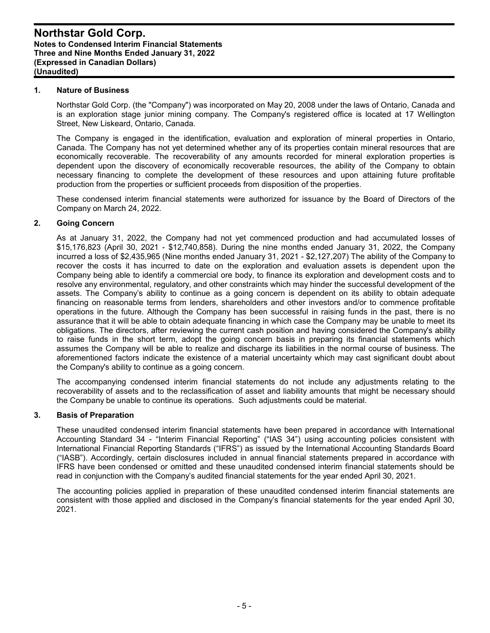#### **1. Nature of Business**

Northstar Gold Corp. (the "Company") was incorporated on May 20, 2008 under the laws of Ontario, Canada and is an exploration stage junior mining company. The Company's registered office is located at 17 Wellington Street, New Liskeard, Ontario, Canada.

The Company is engaged in the identification, evaluation and exploration of mineral properties in Ontario, Canada. The Company has not yet determined whether any of its properties contain mineral resources that are economically recoverable. The recoverability of any amounts recorded for mineral exploration properties is dependent upon the discovery of economically recoverable resources, the ability of the Company to obtain necessary financing to complete the development of these resources and upon attaining future profitable production from the properties or sufficient proceeds from disposition of the properties.

These condensed interim financial statements were authorized for issuance by the Board of Directors of the Company on March 24, 2022.

#### **2. Going Concern**

As at January 31, 2022, the Company had not yet commenced production and had accumulated losses of \$15,176,823 (April 30, 2021 - \$12,740,858). During the nine months ended January 31, 2022, the Company incurred a loss of \$2,435,965 (Nine months ended January 31, 2021 - \$2,127,207) The ability of the Company to recover the costs it has incurred to date on the exploration and evaluation assets is dependent upon the Company being able to identify a commercial ore body, to finance its exploration and development costs and to resolve any environmental, regulatory, and other constraints which may hinder the successful development of the assets. The Company's ability to continue as a going concern is dependent on its ability to obtain adequate financing on reasonable terms from lenders, shareholders and other investors and/or to commence profitable operations in the future. Although the Company has been successful in raising funds in the past, there is no assurance that it will be able to obtain adequate financing in which case the Company may be unable to meet its obligations. The directors, after reviewing the current cash position and having considered the Company's ability to raise funds in the short term, adopt the going concern basis in preparing its financial statements which assumes the Company will be able to realize and discharge its liabilities in the normal course of business. The aforementioned factors indicate the existence of a material uncertainty which may cast significant doubt about the Company's ability to continue as a going concern.

The accompanying condensed interim financial statements do not include any adjustments relating to the recoverability of assets and to the reclassification of asset and liability amounts that might be necessary should the Company be unable to continue its operations. Such adjustments could be material.

#### **3. Basis of Preparation**

These unaudited condensed interim financial statements have been prepared in accordance with International Accounting Standard 34 - "Interim Financial Reporting" ("IAS 34") using accounting policies consistent with International Financial Reporting Standards ("IFRS") as issued by the International Accounting Standards Board ("IASB"). Accordingly, certain disclosures included in annual financial statements prepared in accordance with IFRS have been condensed or omitted and these unaudited condensed interim financial statements should be read in conjunction with the Company's audited financial statements for the year ended April 30, 2021.

The accounting policies applied in preparation of these unaudited condensed interim financial statements are consistent with those applied and disclosed in the Company's financial statements for the year ended April 30, 2021.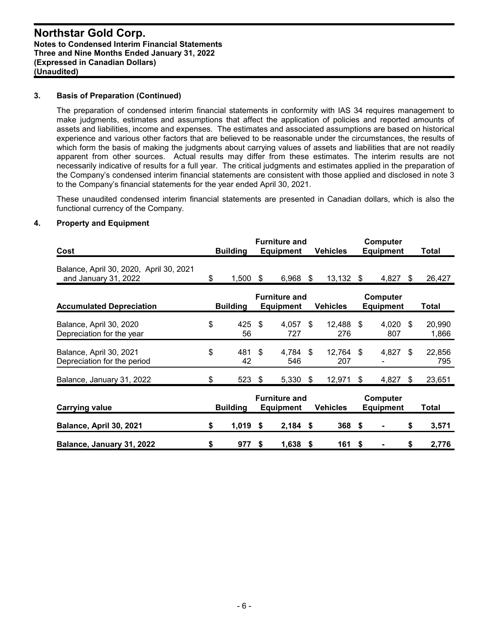#### **3. Basis of Preparation (Continued)**

The preparation of condensed interim financial statements in conformity with IAS 34 requires management to make judgments, estimates and assumptions that affect the application of policies and reported amounts of assets and liabilities, income and expenses. The estimates and associated assumptions are based on historical experience and various other factors that are believed to be reasonable under the circumstances, the results of which form the basis of making the judgments about carrying values of assets and liabilities that are not readily apparent from other sources. Actual results may differ from these estimates. The interim results are not necessarily indicative of results for a full year. The critical judgments and estimates applied in the preparation of the Company's condensed interim financial statements are consistent with those applied and disclosed in note 3 to the Company's financial statements for the year ended April 30, 2021.

These unaudited condensed interim financial statements are presented in Canadian dollars, which is also the functional currency of the Company.

#### **4. Property and Equipment**

| Cost                                                            | <b>Furniture and</b><br><b>Building</b><br><b>Equipment</b> |                 | <b>Vehicles</b>                          | Computer<br><b>Equipment</b> |                  |    | <b>Total</b>                 |     |                 |
|-----------------------------------------------------------------|-------------------------------------------------------------|-----------------|------------------------------------------|------------------------------|------------------|----|------------------------------|-----|-----------------|
| Balance, April 30, 2020, April 30, 2021<br>and January 31, 2022 | S                                                           | 1,500           | \$<br>6,968                              | S.                           | 13,132           | \$ | 4,827                        | \$  | 26,427          |
| <b>Accumulated Depreciation</b>                                 |                                                             | <b>Building</b> | <b>Furniture and</b><br><b>Equipment</b> |                              | <b>Vehicles</b>  |    | Computer<br><b>Equipment</b> |     | Total           |
| Balance, April 30, 2020<br>Depreciation for the year            | \$                                                          | 425<br>56       | \$<br>4,057<br>727                       | \$.                          | 12,488 \$<br>276 |    | 4,020<br>807                 | -\$ | 20,990<br>1,866 |
| Balance, April 30, 2021<br>Depreciation for the period          | \$                                                          | 481 \$<br>42    | 4,784<br>546                             | - \$                         | 12,764 \$<br>207 |    | 4,827 \$                     |     | 22,856<br>795   |
| Balance, January 31, 2022                                       | \$                                                          | 523 \$          | $5,330$ \$                               |                              | 12,971           | S  | 4,827                        | -\$ | 23,651          |
| <b>Carrying value</b>                                           |                                                             | <b>Building</b> | <b>Furniture and</b><br><b>Equipment</b> |                              | Vehicles         |    | Computer<br><b>Equipment</b> |     | Total           |
| Balance, April 30, 2021                                         | \$                                                          | 1,019           | \$<br>2,184                              | \$                           | 368              | \$ |                              | \$  | 3,571           |
| Balance, January 31, 2022                                       | \$                                                          | 977             | \$<br>1,638                              | -S                           | 161              | S. |                              | \$  | 2,776           |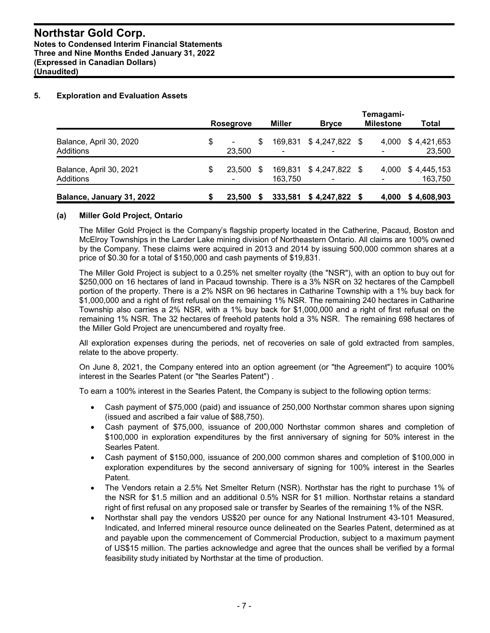#### **5. Exploration and Evaluation Assets**

|                                      | <b>Rosegrove</b>               |     | <b>Miller</b>      | <b>Bryce</b>    | Temagami-<br><b>Milestone</b>     | Total                  |
|--------------------------------------|--------------------------------|-----|--------------------|-----------------|-----------------------------------|------------------------|
| Balance, April 30, 2020<br>Additions | \$<br>$\blacksquare$<br>23,500 | \$  | 169.831            | $$4,247,822$ \$ | 4.000<br>$\overline{\phantom{a}}$ | \$4,421,653<br>23,500  |
| Balance, April 30, 2021<br>Additions | \$<br>23,500<br>۰              | \$. | 169,831<br>163.750 | $$4,247,822$ \$ | 4.000<br>۰                        | \$4,445,153<br>163,750 |
| Balance, January 31, 2022            | 23,500                         |     | 333,581            | $$4,247,822$ \$ | 4.000                             | \$4,608,903            |

#### **(a) Miller Gold Project, Ontario**

The Miller Gold Project is the Company's flagship property located in the Catherine, Pacaud, Boston and McElroy Townships in the Larder Lake mining division of Northeastern Ontario. All claims are 100% owned by the Company. These claims were acquired in 2013 and 2014 by issuing 500,000 common shares at a price of \$0.30 for a total of \$150,000 and cash payments of \$19,831.

The Miller Gold Project is subject to a 0.25% net smelter royalty (the "NSR"), with an option to buy out for \$250,000 on 16 hectares of land in Pacaud township. There is a 3% NSR on 32 hectares of the Campbell portion of the property. There is a 2% NSR on 96 hectares in Catharine Township with a 1% buy back for \$1,000,000 and a right of first refusal on the remaining 1% NSR. The remaining 240 hectares in Catharine Township also carries a 2% NSR, with a 1% buy back for \$1,000,000 and a right of first refusal on the remaining 1% NSR. The 32 hectares of freehold patents hold a 3% NSR. The remaining 698 hectares of the Miller Gold Project are unencumbered and royalty free.

All exploration expenses during the periods, net of recoveries on sale of gold extracted from samples, relate to the above property.

On June 8, 2021, the Company entered into an option agreement (or "the Agreement") to acquire 100% interest in the Searles Patent (or "the Searles Patent") .

To earn a 100% interest in the Searles Patent, the Company is subject to the following option terms:

- Cash payment of \$75,000 (paid) and issuance of 250,000 Northstar common shares upon signing (issued and ascribed a fair value of \$88,750).
- Cash payment of \$75,000, issuance of 200,000 Northstar common shares and completion of \$100,000 in exploration expenditures by the first anniversary of signing for 50% interest in the Searles Patent.
- Cash payment of \$150,000, issuance of 200,000 common shares and completion of \$100,000 in exploration expenditures by the second anniversary of signing for 100% interest in the Searles Patent.
- The Vendors retain a 2.5% Net Smelter Return (NSR). Northstar has the right to purchase 1% of the NSR for \$1.5 million and an additional 0.5% NSR for \$1 million. Northstar retains a standard right of first refusal on any proposed sale or transfer by Searles of the remaining 1% of the NSR.
- Northstar shall pay the vendors US\$20 per ounce for any National Instrument 43-101 Measured, Indicated, and Inferred mineral resource ounce delineated on the Searles Patent, determined as at and payable upon the commencement of Commercial Production, subject to a maximum payment of US\$15 million. The parties acknowledge and agree that the ounces shall be verified by a formal feasibility study initiated by Northstar at the time of production.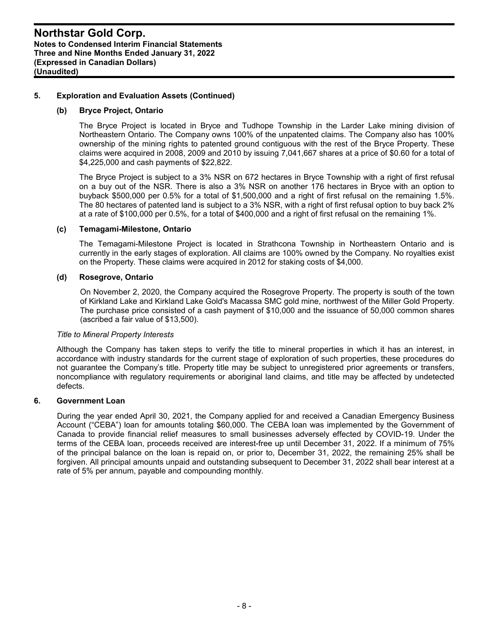#### **5. Exploration and Evaluation Assets (Continued)**

#### **(b) Bryce Project, Ontario**

The Bryce Project is located in Bryce and Tudhope Township in the Larder Lake mining division of Northeastern Ontario. The Company owns 100% of the unpatented claims. The Company also has 100% ownership of the mining rights to patented ground contiguous with the rest of the Bryce Property. These claims were acquired in 2008, 2009 and 2010 by issuing 7,041,667 shares at a price of \$0.60 for a total of \$4,225,000 and cash payments of \$22,822.

The Bryce Project is subject to a 3% NSR on 672 hectares in Bryce Township with a right of first refusal on a buy out of the NSR. There is also a 3% NSR on another 176 hectares in Bryce with an option to buyback \$500,000 per 0.5% for a total of \$1,500,000 and a right of first refusal on the remaining 1.5%. The 80 hectares of patented land is subject to a 3% NSR, with a right of first refusal option to buy back 2% at a rate of \$100,000 per 0.5%, for a total of \$400,000 and a right of first refusal on the remaining 1%.

#### **(c) Temagami-Milestone, Ontario**

The Temagami-Milestone Project is located in Strathcona Township in Northeastern Ontario and is currently in the early stages of exploration. All claims are 100% owned by the Company. No royalties exist on the Property. These claims were acquired in 2012 for staking costs of \$4,000.

#### **(d) Rosegrove, Ontario**

On November 2, 2020, the Company acquired the Rosegrove Property. The property is south of the town of Kirkland Lake and Kirkland Lake Gold's Macassa SMC gold mine, northwest of the Miller Gold Property. The purchase price consisted of a cash payment of \$10,000 and the issuance of 50,000 common shares (ascribed a fair value of \$13,500).

#### *Title to Mineral Property Interests*

Although the Company has taken steps to verify the title to mineral properties in which it has an interest, in accordance with industry standards for the current stage of exploration of such properties, these procedures do not guarantee the Company's title. Property title may be subject to unregistered prior agreements or transfers, noncompliance with regulatory requirements or aboriginal land claims, and title may be affected by undetected defects.

#### **6. Government Loan**

During the year ended April 30, 2021, the Company applied for and received a Canadian Emergency Business Account ("CEBA") loan for amounts totaling \$60,000. The CEBA loan was implemented by the Government of Canada to provide financial relief measures to small businesses adversely effected by COVID-19. Under the terms of the CEBA loan, proceeds received are interest-free up until December 31, 2022. If a minimum of 75% of the principal balance on the loan is repaid on, or prior to, December 31, 2022, the remaining 25% shall be forgiven. All principal amounts unpaid and outstanding subsequent to December 31, 2022 shall bear interest at a rate of 5% per annum, payable and compounding monthly.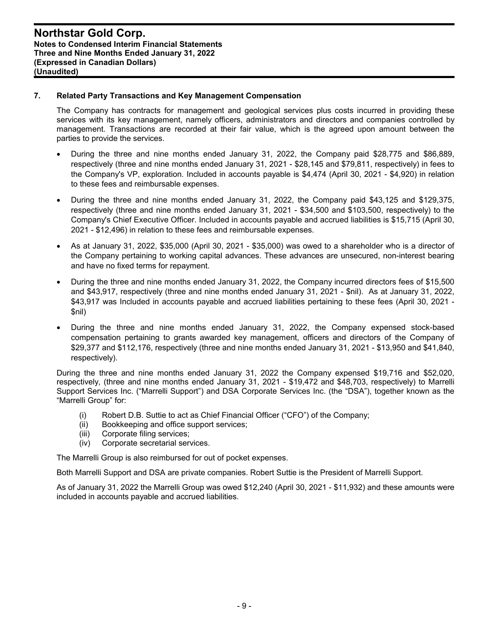#### **7. Related Party Transactions and Key Management Compensation**

The Company has contracts for management and geological services plus costs incurred in providing these services with its key management, namely officers, administrators and directors and companies controlled by management. Transactions are recorded at their fair value, which is the agreed upon amount between the parties to provide the services.

- During the three and nine months ended January 31, 2022, the Company paid \$28,775 and \$86,889, respectively (three and nine months ended January 31, 2021 - \$28,145 and \$79,811, respectively) in fees to the Company's VP, exploration. Included in accounts payable is \$4,474 (April 30, 2021 - \$4,920) in relation to these fees and reimbursable expenses.
- During the three and nine months ended January 31, 2022, the Company paid \$43,125 and \$129,375, respectively (three and nine months ended January 31, 2021 - \$34,500 and \$103,500, respectively) to the Company's Chief Executive Officer. Included in accounts payable and accrued liabilities is \$15,715 (April 30, 2021 - \$12,496) in relation to these fees and reimbursable expenses.
- As at January 31, 2022, \$35,000 (April 30, 2021 \$35,000) was owed to a shareholder who is a director of the Company pertaining to working capital advances. These advances are unsecured, non-interest bearing and have no fixed terms for repayment.
- During the three and nine months ended January 31, 2022, the Company incurred directors fees of \$15,500 and \$43,917, respectively (three and nine months ended January 31, 2021 - \$nil). As at January 31, 2022, \$43,917 was Included in accounts payable and accrued liabilities pertaining to these fees (April 30, 2021 -\$nil)
- During the three and nine months ended January 31, 2022, the Company expensed stock-based compensation pertaining to grants awarded key management, officers and directors of the Company of \$29,377 and \$112,176, respectively (three and nine months ended January 31, 2021 - \$13,950 and \$41,840, respectively).

During the three and nine months ended January 31, 2022 the Company expensed \$19,716 and \$52,020, respectively, (three and nine months ended January 31, 2021 - \$19,472 and \$48,703, respectively) to Marrelli Support Services Inc. ("Marrelli Support") and DSA Corporate Services Inc. (the "DSA"), together known as the "Marrelli Group" for:

- (i) Robert D.B. Suttie to act as Chief Financial Officer ("CFO") of the Company;
- (ii) Bookkeeping and office support services;
- (iii) Corporate filing services;
- (iv) Corporate secretarial services.

The Marrelli Group is also reimbursed for out of pocket expenses.

Both Marrelli Support and DSA are private companies. Robert Suttie is the President of Marrelli Support.

As of January 31, 2022 the Marrelli Group was owed \$12,240 (April 30, 2021 - \$11,932) and these amounts were included in accounts payable and accrued liabilities.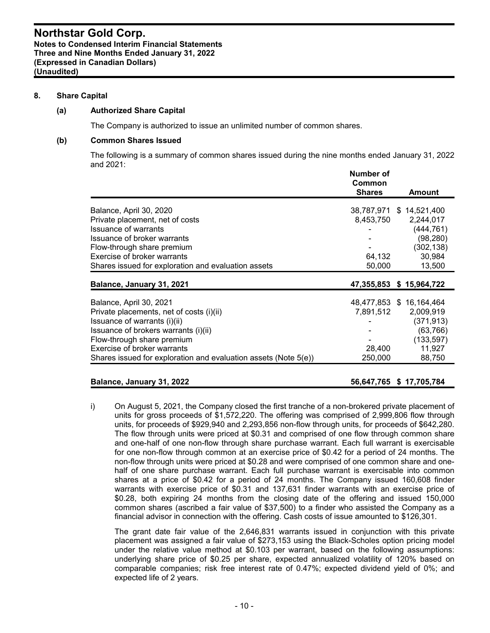#### **8. Share Capital**

#### **(a) Authorized Share Capital**

The Company is authorized to issue an unlimited number of common shares.

#### **(b) Common Shares Issued**

The following is a summary of common shares issued during the nine months ended January 31, 2022 and 2021:

|                                                                 | Number of<br>Common<br><b>Shares</b> | Amount                   |
|-----------------------------------------------------------------|--------------------------------------|--------------------------|
|                                                                 |                                      |                          |
| Balance, April 30, 2020                                         |                                      | 38,787,971 \$ 14,521,400 |
| Private placement, net of costs                                 | 8,453,750                            | 2,244,017                |
| <b>Issuance of warrants</b>                                     |                                      | (444, 761)               |
| Issuance of broker warrants                                     |                                      | (98, 280)                |
| Flow-through share premium                                      |                                      | (302, 138)               |
| Exercise of broker warrants                                     | 64,132                               | 30,984                   |
| Shares issued for exploration and evaluation assets             | 50,000                               | 13,500                   |
| Balance, January 31, 2021                                       |                                      | 47,355,853 \$ 15,964,722 |
|                                                                 |                                      |                          |
| Balance, April 30, 2021                                         |                                      | 48,477,853 \$ 16,164,464 |
| Private placements, net of costs (i)(ii)                        | 7,891,512                            | 2,009,919                |
| Issuance of warrants (i)(ii)                                    |                                      | (371, 913)               |
| Issuance of brokers warrants (i)(ii)                            |                                      | (63, 766)                |
| Flow-through share premium                                      |                                      | (133, 597)               |
| Exercise of broker warrants                                     | 28,400                               | 11,927                   |
| Shares issued for exploration and evaluation assets (Note 5(e)) | 250,000                              | 88,750                   |
|                                                                 |                                      |                          |

#### **Balance, January 31, 2022 56,647,765 \$ 17,705,784**

i) On August 5, 2021, the Company closed the first tranche of a non-brokered private placement of units for gross proceeds of \$1,572,220. The offering was comprised of 2,999,806 flow through units, for proceeds of \$929,940 and 2,293,856 non-flow through units, for proceeds of \$642,280. The flow through units were priced at \$0.31 and comprised of one flow through common share and one-half of one non-flow through share purchase warrant. Each full warrant is exercisable for one non-flow through common at an exercise price of \$0.42 for a period of 24 months. The non-flow through units were priced at \$0.28 and were comprised of one common share and onehalf of one share purchase warrant. Each full purchase warrant is exercisable into common shares at a price of \$0.42 for a period of 24 months. The Company issued 160,608 finder warrants with exercise price of \$0.31 and 137,631 finder warrants with an exercise price of \$0.28, both expiring 24 months from the closing date of the offering and issued 150,000 common shares (ascribed a fair value of \$37,500) to a finder who assisted the Company as a financial advisor in connection with the offering. Cash costs of issue amounted to \$126,301.

The grant date fair value of the 2,646,831 warrants issued in conjunction with this private placement was assigned a fair value of \$273,153 using the Black-Scholes option pricing model under the relative value method at \$0.103 per warrant, based on the following assumptions: underlying share price of \$0.25 per share, expected annualized volatility of 120% based on comparable companies; risk free interest rate of 0.47%; expected dividend yield of 0%; and expected life of 2 years.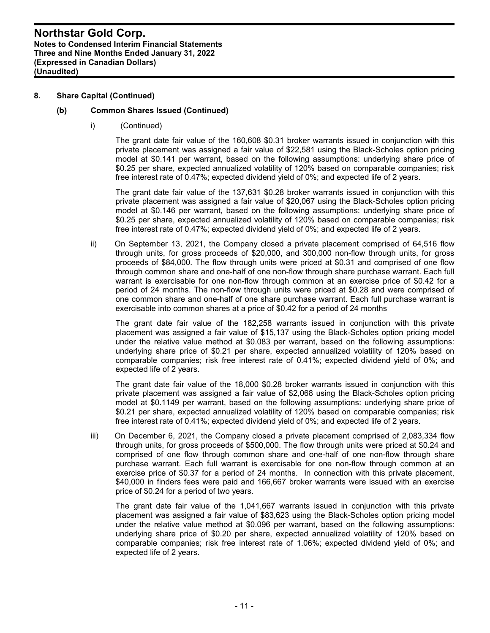#### **8. Share Capital (Continued)**

#### **(b) Common Shares Issued (Continued)**

i) (Continued)

The grant date fair value of the 160,608 \$0.31 broker warrants issued in conjunction with this private placement was assigned a fair value of \$22,581 using the Black-Scholes option pricing model at \$0.141 per warrant, based on the following assumptions: underlying share price of \$0.25 per share, expected annualized volatility of 120% based on comparable companies; risk free interest rate of 0.47%; expected dividend yield of 0%; and expected life of 2 years.

The grant date fair value of the 137,631 \$0.28 broker warrants issued in conjunction with this private placement was assigned a fair value of \$20,067 using the Black-Scholes option pricing model at \$0.146 per warrant, based on the following assumptions: underlying share price of \$0.25 per share, expected annualized volatility of 120% based on comparable companies; risk free interest rate of 0.47%; expected dividend yield of 0%; and expected life of 2 years.

ii) On September 13, 2021, the Company closed a private placement comprised of 64,516 flow through units, for gross proceeds of \$20,000, and 300,000 non-flow through units, for gross proceeds of \$84,000. The flow through units were priced at \$0.31 and comprised of one flow through common share and one-half of one non-flow through share purchase warrant. Each full warrant is exercisable for one non-flow through common at an exercise price of \$0.42 for a period of 24 months. The non-flow through units were priced at \$0.28 and were comprised of one common share and one-half of one share purchase warrant. Each full purchase warrant is exercisable into common shares at a price of \$0.42 for a period of 24 months

The grant date fair value of the 182,258 warrants issued in conjunction with this private placement was assigned a fair value of \$15,137 using the Black-Scholes option pricing model under the relative value method at \$0.083 per warrant, based on the following assumptions: underlying share price of \$0.21 per share, expected annualized volatility of 120% based on comparable companies; risk free interest rate of 0.41%; expected dividend yield of 0%; and expected life of 2 years.

The grant date fair value of the 18,000 \$0.28 broker warrants issued in conjunction with this private placement was assigned a fair value of \$2,068 using the Black-Scholes option pricing model at \$0.1149 per warrant, based on the following assumptions: underlying share price of \$0.21 per share, expected annualized volatility of 120% based on comparable companies; risk free interest rate of 0.41%; expected dividend yield of 0%; and expected life of 2 years.

iii) On December 6, 2021, the Company closed a private placement comprised of 2,083,334 flow through units, for gross proceeds of \$500,000. The flow through units were priced at \$0.24 and comprised of one flow through common share and one-half of one non-flow through share purchase warrant. Each full warrant is exercisable for one non-flow through common at an exercise price of \$0.37 for a period of 24 months. In connection with this private placement, \$40,000 in finders fees were paid and 166,667 broker warrants were issued with an exercise price of \$0.24 for a period of two years.

The grant date fair value of the 1,041,667 warrants issued in conjunction with this private placement was assigned a fair value of \$83,623 using the Black-Scholes option pricing model under the relative value method at \$0.096 per warrant, based on the following assumptions: underlying share price of \$0.20 per share, expected annualized volatility of 120% based on comparable companies; risk free interest rate of 1.06%; expected dividend yield of 0%; and expected life of 2 years.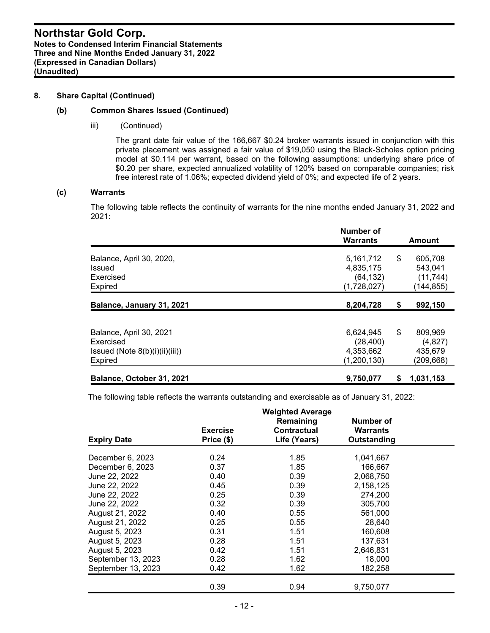#### **8. Share Capital (Continued)**

#### **(b) Common Shares Issued (Continued)**

iii) (Continued)

The grant date fair value of the 166,667 \$0.24 broker warrants issued in conjunction with this private placement was assigned a fair value of \$19,050 using the Black-Scholes option pricing model at \$0.114 per warrant, based on the following assumptions: underlying share price of \$0.20 per share, expected annualized volatility of 120% based on comparable companies; risk free interest rate of 1.06%; expected dividend yield of 0%; and expected life of 2 years.

#### **(c) Warrants**

The following table reflects the continuity of warrants for the nine months ended January 31, 2022 and 2021:

|                                                                                   | Number of<br><b>Warrants</b>                         |    | <b>Amount</b>                                 |
|-----------------------------------------------------------------------------------|------------------------------------------------------|----|-----------------------------------------------|
| Balance, April 30, 2020,<br>Issued<br>Exercised<br><b>Expired</b>                 | 5,161,712<br>4,835,175<br>(64, 132)<br>(1,728,027)   | \$ | 605,708<br>543,041<br>(11, 744)<br>(144, 855) |
| Balance, January 31, 2021                                                         | 8,204,728                                            | \$ | 992,150                                       |
| Balance, April 30, 2021<br>Exercised<br>Issued (Note 8(b)(i)(ii)(iii))<br>Expired | 6,624,945<br>(28, 400)<br>4,353,662<br>(1, 200, 130) | \$ | 809,969<br>(4,827)<br>435,679<br>(209,668)    |
| Balance, October 31, 2021                                                         | 9,750,077                                            | S  | 1,031,153                                     |

The following table reflects the warrants outstanding and exercisable as of January 31, 2022:

|                    |                 | <b>Weighted Average</b> |             |  |
|--------------------|-----------------|-------------------------|-------------|--|
|                    |                 | Remaining               | Number of   |  |
|                    | <b>Exercise</b> | <b>Contractual</b>      | Warrants    |  |
| <b>Expiry Date</b> | Price (\$)      | Life (Years)            | Outstanding |  |
| December 6, 2023   | 0.24            | 1.85                    | 1,041,667   |  |
|                    |                 |                         |             |  |
| December 6, 2023   | 0.37            | 1.85                    | 166,667     |  |
| June 22, 2022      | 0.40            | 0.39                    | 2,068,750   |  |
| June 22, 2022      | 0.45            | 0.39                    | 2,158,125   |  |
| June 22, 2022      | 0.25            | 0.39                    | 274,200     |  |
| June 22, 2022      | 0.32            | 0.39                    | 305,700     |  |
| August 21, 2022    | 0.40            | 0.55                    | 561.000     |  |
| August 21, 2022    | 0.25            | 0.55                    | 28,640      |  |
| August 5, 2023     | 0.31            | 1.51                    | 160,608     |  |
| August 5, 2023     | 0.28            | 1.51                    | 137,631     |  |
| August 5, 2023     | 0.42            | 1.51                    | 2,646,831   |  |
| September 13, 2023 | 0.28            | 1.62                    | 18,000      |  |
| September 13, 2023 | 0.42            | 1.62                    | 182,258     |  |
|                    | 0.39            | 0.94                    |             |  |
|                    |                 |                         | 9,750,077   |  |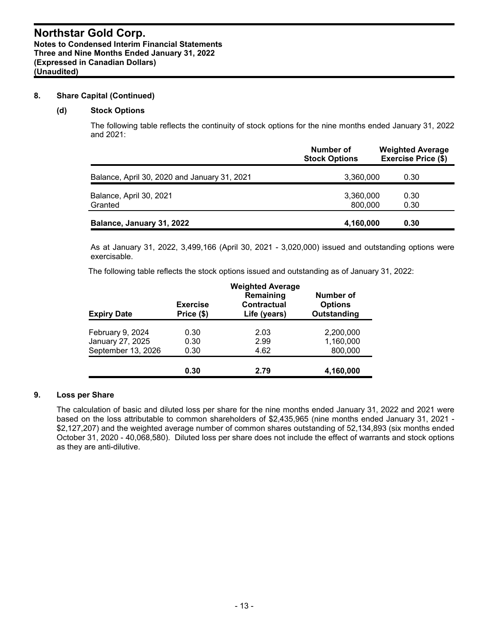#### **8. Share Capital (Continued)**

#### **(d) Stock Options**

The following table reflects the continuity of stock options for the nine months ended January 31, 2022 and 2021:

|                                              | Number of<br><b>Stock Options</b> | <b>Weighted Average</b><br><b>Exercise Price (\$)</b> |
|----------------------------------------------|-----------------------------------|-------------------------------------------------------|
| Balance, April 30, 2020 and January 31, 2021 | 3,360,000                         | 0.30                                                  |
| Balance, April 30, 2021<br>Granted           | 3,360,000<br>800,000              | 0.30<br>0.30                                          |
| Balance, January 31, 2022                    | 4,160,000                         | 0.30                                                  |

As at January 31, 2022, 3,499,166 (April 30, 2021 - 3,020,000) issued and outstanding options were exercisable.

The following table reflects the stock options issued and outstanding as of January 31, 2022:

| <b>Expiry Date</b> | <b>Exercise</b><br>Price (\$) | <b>Weighted Average</b><br>Remaining<br>Contractual<br>Life (years) | Number of<br><b>Options</b><br>Outstanding |
|--------------------|-------------------------------|---------------------------------------------------------------------|--------------------------------------------|
|                    |                               |                                                                     |                                            |
| February 9, 2024   | 0.30                          | 2.03                                                                | 2,200,000                                  |
| January 27, 2025   | 0.30                          | 2.99                                                                | 1,160,000                                  |
| September 13, 2026 | 0.30                          | 4.62                                                                | 800,000                                    |
|                    |                               |                                                                     |                                            |
|                    | 0.30                          | 2.79                                                                | 4,160,000                                  |

### **9. Loss per Share**

The calculation of basic and diluted loss per share for the nine months ended January 31, 2022 and 2021 were based on the loss attributable to common shareholders of \$2,435,965 (nine months ended January 31, 2021 - \$2,127,207) and the weighted average number of common shares outstanding of 52,134,893 (six months ended October 31, 2020 - 40,068,580). Diluted loss per share does not include the effect of warrants and stock options as they are anti-dilutive.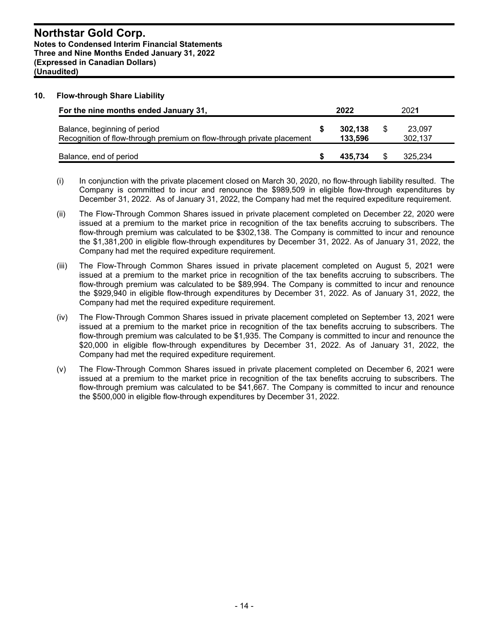#### **10. Flow-through Share Liability**

| For the nine months ended January 31,                                                                 | 2022               | 2021              |
|-------------------------------------------------------------------------------------------------------|--------------------|-------------------|
| Balance, beginning of period<br>Recognition of flow-through premium on flow-through private placement | 302.138<br>133,596 | 23,097<br>302.137 |
| Balance, end of period                                                                                | 435.734            | 325.234           |

- (i) In conjunction with the private placement closed on March 30, 2020, no flow-through liability resulted. The Company is committed to incur and renounce the \$989,509 in eligible flow-through expenditures by December 31, 2022. As of January 31, 2022, the Company had met the required expediture requirement.
- (ii) The Flow-Through Common Shares issued in private placement completed on December 22, 2020 were issued at a premium to the market price in recognition of the tax benefits accruing to subscribers. The flow-through premium was calculated to be \$302,138. The Company is committed to incur and renounce the \$1,381,200 in eligible flow-through expenditures by December 31, 2022. As of January 31, 2022, the Company had met the required expediture requirement.
- (iii) The Flow-Through Common Shares issued in private placement completed on August 5, 2021 were issued at a premium to the market price in recognition of the tax benefits accruing to subscribers. The flow-through premium was calculated to be \$89,994. The Company is committed to incur and renounce the \$929,940 in eligible flow-through expenditures by December 31, 2022. As of January 31, 2022, the Company had met the required expediture requirement.
- (iv) The Flow-Through Common Shares issued in private placement completed on September 13, 2021 were issued at a premium to the market price in recognition of the tax benefits accruing to subscribers. The flow-through premium was calculated to be \$1,935. The Company is committed to incur and renounce the \$20,000 in eligible flow-through expenditures by December 31, 2022. As of January 31, 2022, the Company had met the required expediture requirement.
- (v) The Flow-Through Common Shares issued in private placement completed on December 6, 2021 were issued at a premium to the market price in recognition of the tax benefits accruing to subscribers. The flow-through premium was calculated to be \$41,667. The Company is committed to incur and renounce the \$500,000 in eligible flow-through expenditures by December 31, 2022.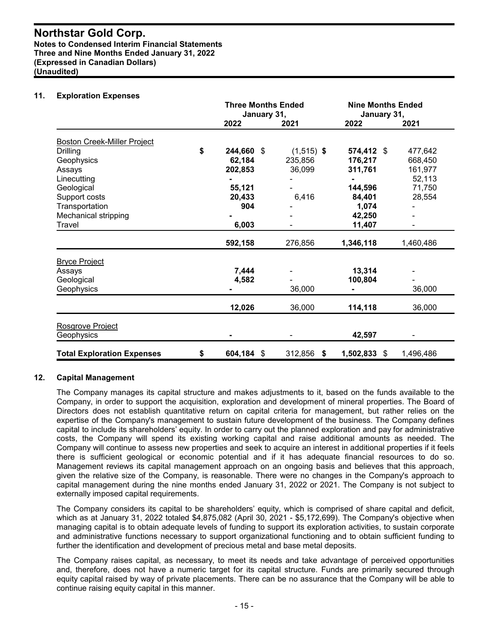#### **Northstar Gold Corp. Notes to Condensed Interim Financial Statements Three and Nine Months Ended January 31, 2022 (Expressed in Canadian Dollars)**

**(Unaudited)**

#### **11. Exploration Expenses**

|                                    | <b>Three Months Ended</b><br>January 31, |              | <b>Nine Months Ended</b><br>January 31, |           |
|------------------------------------|------------------------------------------|--------------|-----------------------------------------|-----------|
|                                    | 2022                                     | 2021         | 2022                                    | 2021      |
| <b>Boston Creek-Miller Project</b> |                                          |              |                                         |           |
| <b>Drilling</b>                    | \$<br>244,660 \$                         | $(1,515)$ \$ | 574,412 \$                              | 477,642   |
| Geophysics                         | 62,184                                   | 235,856      | 176,217                                 | 668,450   |
| Assays                             | 202,853                                  | 36,099       | 311,761                                 | 161,977   |
| Linecutting                        |                                          |              |                                         | 52,113    |
| Geological                         | 55,121                                   |              | 144,596                                 | 71,750    |
| Support costs                      | 20,433                                   | 6,416        | 84,401                                  | 28,554    |
| Transportation                     | 904                                      |              | 1,074                                   |           |
| Mechanical stripping               |                                          |              | 42,250                                  |           |
| Travel                             | 6,003                                    |              | 11,407                                  |           |
|                                    | 592,158                                  | 276,856      | 1,346,118                               | 1,460,486 |
| <b>Bryce Project</b>               |                                          |              |                                         |           |
| Assays                             | 7,444                                    |              | 13,314                                  |           |
| Geological                         | 4,582                                    |              | 100,804                                 |           |
| Geophysics                         |                                          | 36,000       |                                         | 36,000    |
|                                    | 12,026                                   | 36,000       | 114,118                                 | 36,000    |
| Rosgrove Project                   |                                          |              |                                         |           |
| Geophysics                         |                                          |              | 42,597                                  |           |
| <b>Total Exploration Expenses</b>  | \$<br>604,184 \$                         | 312,856 \$   | 1,502,833 \$                            | 1,496,486 |

#### **12. Capital Management**

The Company manages its capital structure and makes adjustments to it, based on the funds available to the Company, in order to support the acquisition, exploration and development of mineral properties. The Board of Directors does not establish quantitative return on capital criteria for management, but rather relies on the expertise of the Company's management to sustain future development of the business. The Company defines capital to include its shareholders' equity. In order to carry out the planned exploration and pay for administrative costs, the Company will spend its existing working capital and raise additional amounts as needed. The Company will continue to assess new properties and seek to acquire an interest in additional properties if it feels there is sufficient geological or economic potential and if it has adequate financial resources to do so. Management reviews its capital management approach on an ongoing basis and believes that this approach, given the relative size of the Company, is reasonable. There were no changes in the Company's approach to capital management during the nine months ended January 31, 2022 or 2021. The Company is not subject to externally imposed capital requirements.

The Company considers its capital to be shareholders' equity, which is comprised of share capital and deficit, which as at January 31, 2022 totaled \$4,875,082 (April 30, 2021 - \$5,172,699). The Company's objective when managing capital is to obtain adequate levels of funding to support its exploration activities, to sustain corporate and administrative functions necessary to support organizational functioning and to obtain sufficient funding to further the identification and development of precious metal and base metal deposits.

The Company raises capital, as necessary, to meet its needs and take advantage of perceived opportunities and, therefore, does not have a numeric target for its capital structure. Funds are primarily secured through equity capital raised by way of private placements. There can be no assurance that the Company will be able to continue raising equity capital in this manner.